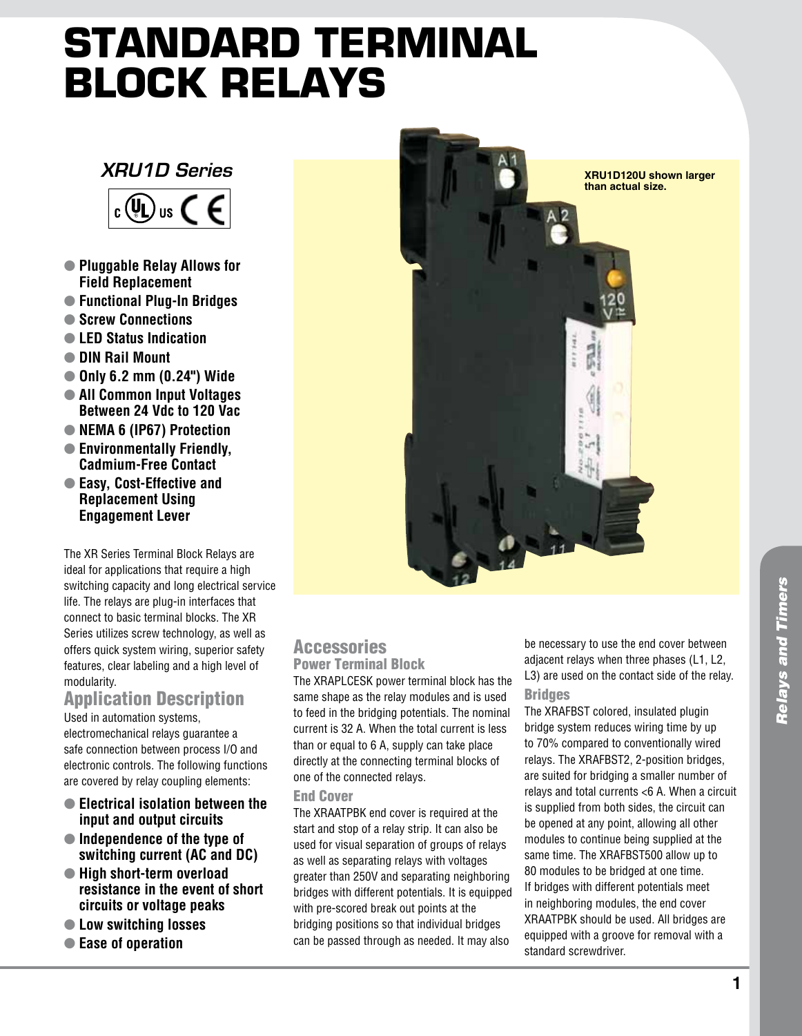# **Standard Terminal Block Relays**

## *XRU1D Series*



- l **Pluggable Relay Allows for Field Replacement**
- l **Functional Plug-In Bridges**
- l **Screw Connections**
- l **LED Status Indication**
- l **DIN Rail Mount**
- l **Only 6.2 mm (0.24") Wide**
- $\bullet$  **All Common Input Voltages Between 24 Vdc to 120 Vac**
- **NEMA 6 (IP67)** Protection
- $\bullet$  **Environmentally Friendly, Cadmium-Free Contact**
- Easy, Cost-Effective and **Replacement Using Engagement Lever**

The XR Series Terminal Block Relays are ideal for applications that require a high switching capacity and long electrical service life. The relays are plug-in interfaces that connect to basic terminal blocks. The XR Series utilizes screw technology, as well as offers quick system wiring, superior safety features, clear labeling and a high level of modularity.

## Application Description

Used in automation systems, electromechanical relays guarantee a safe connection between process I/O and electronic controls. The following functions are covered by relay coupling elements:

- **Electrical isolation between the input and output circuits**
- Independence of the type of **switching current (AC and DC)**
- l **High short-term overload resistance in the event of short circuits or voltage peaks**
- $\bullet$  **Low switching losses**
- l **Ease of operation**



#### Accessories Power Terminal Block

The XRAPLCESK power terminal block has the same shape as the relay modules and is used to feed in the bridging potentials. The nominal current is 32 A. When the total current is less than or equal to 6 A, supply can take place directly at the connecting terminal blocks of one of the connected relays.

#### End Cover

The XRAATPBK end cover is required at the start and stop of a relay strip. It can also be used for visual separation of groups of relays as well as separating relays with voltages greater than 250V and separating neighboring bridges with different potentials. It is equipped with pre-scored break out points at the bridging positions so that individual bridges can be passed through as needed. It may also

be necessary to use the end cover between adjacent relays when three phases (L1, L2, L3) are used on the contact side of the relay. **Bridges** 

The XRAFBST colored, insulated plugin bridge system reduces wiring time by up to 70% compared to conventionally wired relays. The XRAFBST2, 2-position bridges, are suited for bridging a smaller number of relays and total currents <6 A. When a circuit is supplied from both sides, the circuit can be opened at any point, allowing all other modules to continue being supplied at the same time. The XRAFBST500 allow up to 80 modules to be bridged at one time. If bridges with different potentials meet in neighboring modules, the end cover XRAATPBK should be used. All bridges are equipped with a groove for removal with a standard screwdriver.